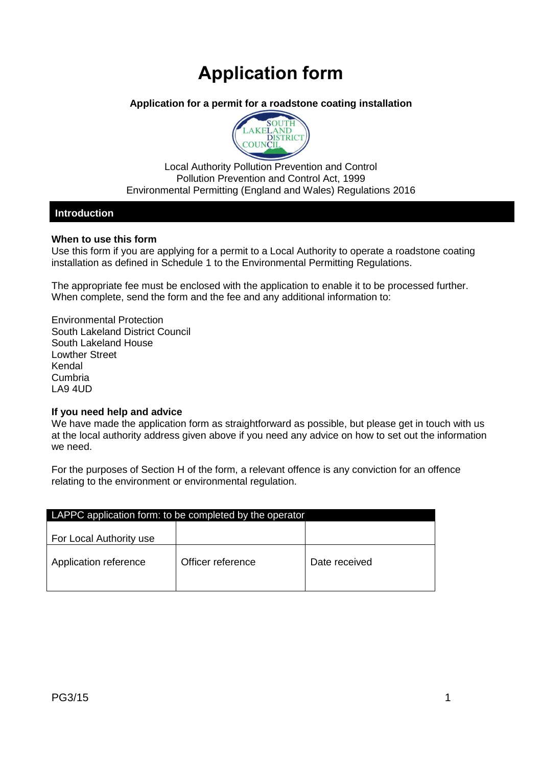# **Application form**

## **Application for a permit for a roadstone coating installation**



Local Authority Pollution Prevention and Control Pollution Prevention and Control Act, 1999 Environmental Permitting (England and Wales) Regulations 2016

#### **Introduction**

#### **When to use this form**

Use this form if you are applying for a permit to a Local Authority to operate a roadstone coating installation as defined in Schedule 1 to the Environmental Permitting Regulations.

The appropriate fee must be enclosed with the application to enable it to be processed further. When complete, send the form and the fee and any additional information to:

Environmental Protection South Lakeland District Council South Lakeland House Lowther Street Kendal Cumbria LA9 4UD

#### **If you need help and advice**

We have made the application form as straightforward as possible, but please get in touch with us at the local authority address given above if you need any advice on how to set out the information we need.

For the purposes of Section H of the form, a relevant offence is any conviction for an offence relating to the environment or environmental regulation.

| LAPPC application form: to be completed by the operator |                   |               |  |  |
|---------------------------------------------------------|-------------------|---------------|--|--|
| For Local Authority use                                 |                   |               |  |  |
| Application reference                                   | Officer reference | Date received |  |  |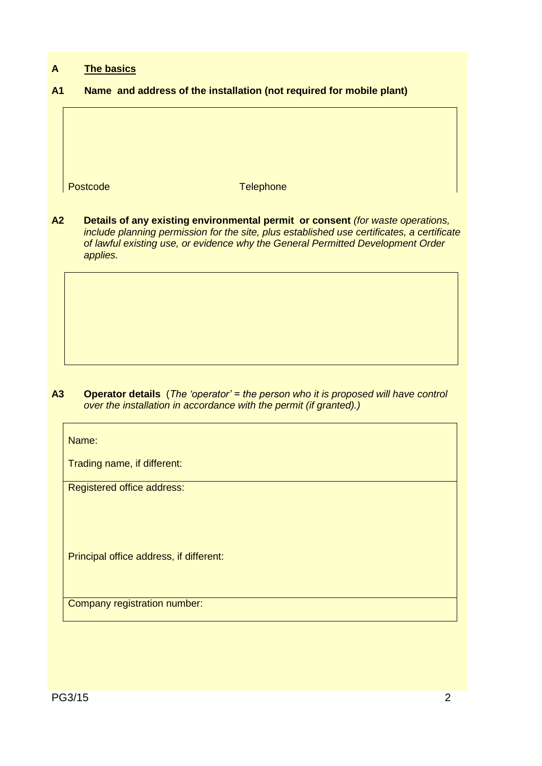## **A The basics**

**A1 Name and address of the installation (not required for mobile plant)**

Postcode Telephone

**A2 Details of any existing environmental permit or consent** *(for waste operations, include planning permission for the site, plus established use certificates, a certificate of lawful existing use, or evidence why the General Permitted Development Order applies.*

**A3 Operator details** (*The 'operator' = the person who it is proposed will have control over the installation in accordance with the permit (if granted).)*

Name:

Trading name, if different:

Registered office address:

Principal office address, if different:

Company registration number: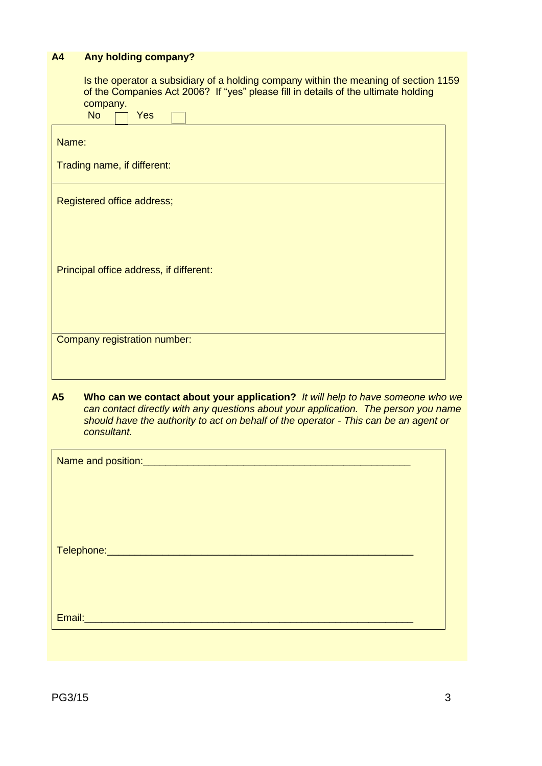# **A4 Any holding company?**

| Is the operator a subsidiary of a holding company within the meaning of section 1159<br>of the Companies Act 2006? If "yes" please fill in details of the ultimate holding<br>company.<br><b>No</b><br><b>Yes</b> |
|-------------------------------------------------------------------------------------------------------------------------------------------------------------------------------------------------------------------|
| Name:                                                                                                                                                                                                             |
| Trading name, if different:                                                                                                                                                                                       |
| Registered office address;                                                                                                                                                                                        |
|                                                                                                                                                                                                                   |
| Principal office address, if different:                                                                                                                                                                           |
| Company registration number:                                                                                                                                                                                      |
| A <sub>5</sub><br>Who can we contact about your application? It will help to have someone who we                                                                                                                  |

*can contact directly with any questions about your application. The person you name should have the authority to act on behalf of the operator - This can be an agent or consultant.*

| Email: 2008 - 2008 - 2014 - 2014 - 2014 - 2014 - 2014 - 2014 - 2014 - 2014 - 2014 - 2014 - 2014 - 2014 - 2014 |  |
|---------------------------------------------------------------------------------------------------------------|--|
|                                                                                                               |  |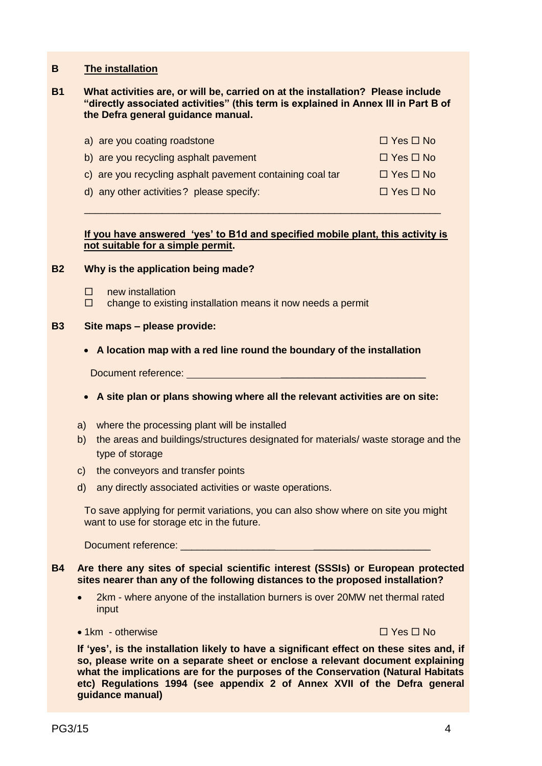#### **B The installation**

#### **B1 What activities are, or will be, carried on at the installation? Please include "directly associated activities" (this term is explained in Annex III in Part B of the Defra general guidance manual.**

| a) are you coating roadstone                              | $\Box$ Yes $\Box$ No |
|-----------------------------------------------------------|----------------------|
| b) are you recycling asphalt pavement                     | $\Box$ Yes $\Box$ No |
| c) are you recycling asphalt pavement containing coal tar | $\Box$ Yes $\Box$ No |
| d) any other activities? please specify:                  | $\Box$ Yes $\Box$ No |

\_\_\_\_\_\_\_\_\_\_\_\_\_\_\_\_\_\_\_\_\_\_\_\_\_\_\_\_\_\_\_\_\_\_\_\_\_\_\_\_\_\_\_\_\_\_\_\_\_\_\_\_\_\_\_\_\_\_\_\_\_\_\_\_

## **If you have answered 'yes' to B1d and specified mobile plant, this activity is not suitable for a simple permit.**

#### **B2 Why is the application being made?**

- $\square$  new installation
- $\Box$  change to existing installation means it now needs a permit

#### **B3 Site maps – please provide:**

**A location map with a red line round the boundary of the installation**

Document reference: \_\_\_\_\_\_\_\_\_\_\_\_\_\_\_\_\_\_\_\_\_\_\_\_\_\_

- **A site plan or plans showing where all the relevant activities are on site:**
- a) where the processing plant will be installed
- b) the areas and buildings/structures designated for materials/ waste storage and the type of storage
- c) the conveyors and transfer points
- d) any directly associated activities or waste operations.

To save applying for permit variations, you can also show where on site you might want to use for storage etc in the future.

Document reference:  $\Box$ 

#### **B4 Are there any sites of special scientific interest (SSSIs) or European protected sites nearer than any of the following distances to the proposed installation?**

- 2km where anyone of the installation burners is over 20MW net thermal rated input
- 1km otherwise Yes No

**If 'yes', is the installation likely to have a significant effect on these sites and, if so, please write on a separate sheet or enclose a relevant document explaining what the implications are for the purposes of the Conservation (Natural Habitats etc) Regulations 1994 (see appendix 2 of Annex XVII of the Defra general guidance manual)**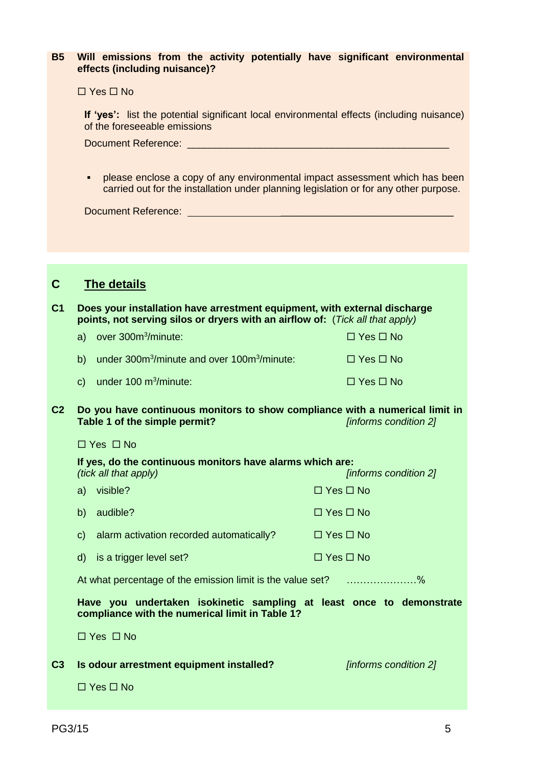#### **B5 Will emissions from the activity potentially have significant environmental effects (including nuisance)?**

 $\Box$  Yes  $\Box$  No

**If 'yes':** list the potential significant local environmental effects (including nuisance) of the foreseeable emissions

Document Reference:

**•** please enclose a copy of any environmental impact assessment which has been carried out for the installation under planning legislation or for any other purpose.

Document Reference: \_\_\_\_\_\_\_\_\_\_\_\_\_\_\_\_\_\_\_\_\_\_\_\_\_\_\_\_\_\_\_

# **C The details**

**C1 Does your installation have arrestment equipment, with external discharge points, not serving silos or dryers with an airflow of:** (*Tick all that apply)*

| a) over 300m <sup>3</sup> /minute:                   | $\Box$ Yes $\Box$ No |
|------------------------------------------------------|----------------------|
| b) under $300m^3/m$ inute and over $100m^3/m$ inute: | $\Box$ Yes $\Box$ No |
| c) under $100 \text{ m}^3/\text{minute}$ :           | □ Yes □ No           |

**C2 Do you have continuous monitors to show compliance with a numerical limit in Table 1 of the simple permit?** *[informs condition 2]*

 $\Box$  Yes  $\Box$  No

|              | If yes, do the continuous monitors have alarms which are:<br><i>(tick all that apply)</i><br>[informs condition 2] |                      |  |
|--------------|--------------------------------------------------------------------------------------------------------------------|----------------------|--|
| a)           | visible?                                                                                                           | $\Box$ Yes $\Box$ No |  |
| b)           | audible?                                                                                                           | $\Box$ Yes $\Box$ No |  |
| $\mathbf{C}$ | alarm activation recorded automatically?                                                                           | $\Box$ Yes $\Box$ No |  |
| d)           | is a trigger level set?                                                                                            | $\Box$ Yes $\Box$ No |  |

At what percentage of the emission limit is the value set? …………………%

**Have you undertaken isokinetic sampling at least once to demonstrate compliance with the numerical limit in Table 1?**

 $\Box$  Yes  $\Box$  No

| C3 |  |  | Is odour arrestment equipment installed? |
|----|--|--|------------------------------------------|
|----|--|--|------------------------------------------|

**Informs condition 21** 

 $\Box$  Yes  $\Box$  No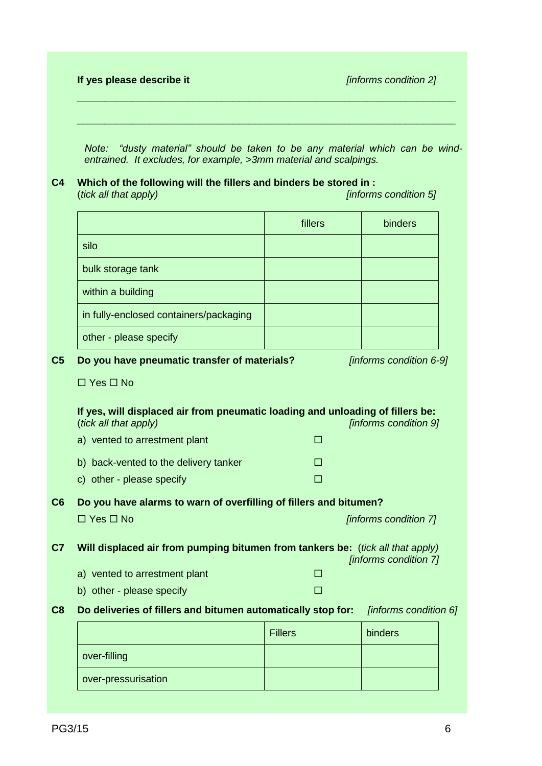*Note: "dusty material" should be taken to be any material which can be windentrained. It excludes, for example, >3mm material and scalpings.*

*\_\_\_\_\_\_\_\_\_\_\_\_\_\_\_\_\_\_\_\_\_\_\_\_\_\_\_\_\_\_\_\_\_\_\_\_\_\_\_\_\_\_\_\_\_\_\_\_\_\_\_\_\_\_\_\_\_\_\_\_\_\_\_\_\_\_\_\_*

*\_\_\_\_\_\_\_\_\_\_\_\_\_\_\_\_\_\_\_\_\_\_\_\_\_\_\_\_\_\_\_\_\_\_\_\_\_\_\_\_\_\_\_\_\_\_\_\_\_\_\_\_\_\_\_\_\_\_\_\_\_\_\_\_\_\_\_\_*

#### **C4 Which of the following will the fillers and binders be stored in :** (*tick all that apply) [informs condition 5]*

|                |                                                                                                         | fillers        | binders                 |  |
|----------------|---------------------------------------------------------------------------------------------------------|----------------|-------------------------|--|
|                | silo                                                                                                    |                |                         |  |
|                | bulk storage tank                                                                                       |                |                         |  |
|                | within a building                                                                                       |                |                         |  |
|                | in fully-enclosed containers/packaging                                                                  |                |                         |  |
|                | other - please specify                                                                                  |                |                         |  |
| C <sub>5</sub> | Do you have pneumatic transfer of materials?                                                            |                | [informs condition 6-9] |  |
|                | $\Box$ Yes $\Box$ No                                                                                    |                |                         |  |
|                | If yes, will displaced air from pneumatic loading and unloading of fillers be:<br>(tick all that apply) |                | [informs condition 9]   |  |
|                | a) vented to arrestment plant                                                                           | П              |                         |  |
|                | b) back-vented to the delivery tanker                                                                   | П              |                         |  |
|                | c) other - please specify                                                                               | $\Box$         |                         |  |
| C6             | Do you have alarms to warn of overfilling of fillers and bitumen?                                       |                |                         |  |
|                | $\Box$ Yes $\Box$ No                                                                                    |                | [informs condition 7]   |  |
| C7             | Will displaced air from pumping bitumen from tankers be: (tick all that apply)                          |                | [informs condition 7]   |  |
|                | a) vented to arrestment plant                                                                           | П              |                         |  |
|                | b) other - please specify                                                                               |                |                         |  |
| C8             | Do deliveries of fillers and bitumen automatically stop for:<br>[informs condition 6]                   |                |                         |  |
|                |                                                                                                         | <b>Fillers</b> | binders                 |  |
|                | over-filling                                                                                            |                |                         |  |
|                | over-pressurisation                                                                                     |                |                         |  |
|                |                                                                                                         |                |                         |  |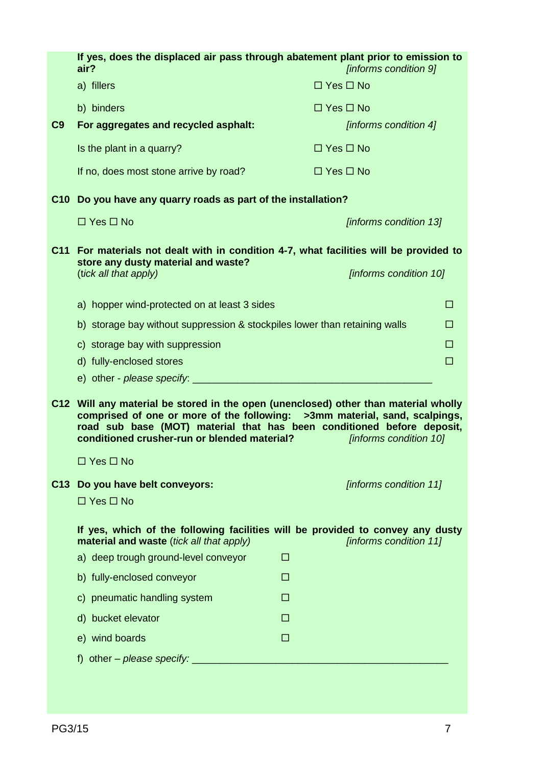|    | If yes, does the displaced air pass through abatement plant prior to emission to<br>air?                                                                                                                                                                                                    | [informs condition 9]  |
|----|---------------------------------------------------------------------------------------------------------------------------------------------------------------------------------------------------------------------------------------------------------------------------------------------|------------------------|
|    | a) fillers                                                                                                                                                                                                                                                                                  | $\Box$ Yes $\Box$ No   |
|    | b) binders                                                                                                                                                                                                                                                                                  | $\Box$ Yes $\Box$ No   |
| C9 | For aggregates and recycled asphalt:                                                                                                                                                                                                                                                        | [informs condition 4]  |
|    | Is the plant in a quarry?                                                                                                                                                                                                                                                                   | $\Box$ Yes $\Box$ No   |
|    | If no, does most stone arrive by road?                                                                                                                                                                                                                                                      | $\Box$ Yes $\Box$ No   |
|    | C10 Do you have any quarry roads as part of the installation?                                                                                                                                                                                                                               |                        |
|    | $\Box$ Yes $\Box$ No                                                                                                                                                                                                                                                                        | [informs condition 13] |
|    | C11 For materials not dealt with in condition 4-7, what facilities will be provided to<br>store any dusty material and waste?                                                                                                                                                               |                        |
|    | (tick all that apply)                                                                                                                                                                                                                                                                       | [informs condition 10] |
|    | a) hopper wind-protected on at least 3 sides                                                                                                                                                                                                                                                | □                      |
|    | b) storage bay without suppression & stockpiles lower than retaining walls                                                                                                                                                                                                                  | п                      |
|    | c) storage bay with suppression                                                                                                                                                                                                                                                             | □                      |
|    | d) fully-enclosed stores                                                                                                                                                                                                                                                                    | П                      |
|    | e) other - please specify:                                                                                                                                                                                                                                                                  |                        |
|    | C12 Will any material be stored in the open (unenclosed) other than material wholly<br>comprised of one or more of the following: >3mm material, sand, scalpings,<br>road sub base (MOT) material that has been conditioned before deposit,<br>conditioned crusher-run or blended material? | [informs condition 10] |
|    | $\Box$ Yes $\Box$ No                                                                                                                                                                                                                                                                        |                        |
|    | C13 Do you have belt conveyors:                                                                                                                                                                                                                                                             | [informs condition 11] |
|    | $\Box$ Yes $\Box$ No                                                                                                                                                                                                                                                                        |                        |
|    | If yes, which of the following facilities will be provided to convey any dusty<br>material and waste (tick all that apply)                                                                                                                                                                  | [informs condition 11] |
|    | a) deep trough ground-level conveyor<br>□                                                                                                                                                                                                                                                   |                        |
|    | b) fully-enclosed conveyor<br>□                                                                                                                                                                                                                                                             |                        |
|    | c) pneumatic handling system<br><b>CO</b>                                                                                                                                                                                                                                                   |                        |
|    | d) bucket elevator<br><b>CO</b>                                                                                                                                                                                                                                                             |                        |
|    | e) wind boards<br>П                                                                                                                                                                                                                                                                         |                        |
|    | f) other – please specify: $\frac{1}{2}$ other – please specify:                                                                                                                                                                                                                            |                        |
|    |                                                                                                                                                                                                                                                                                             |                        |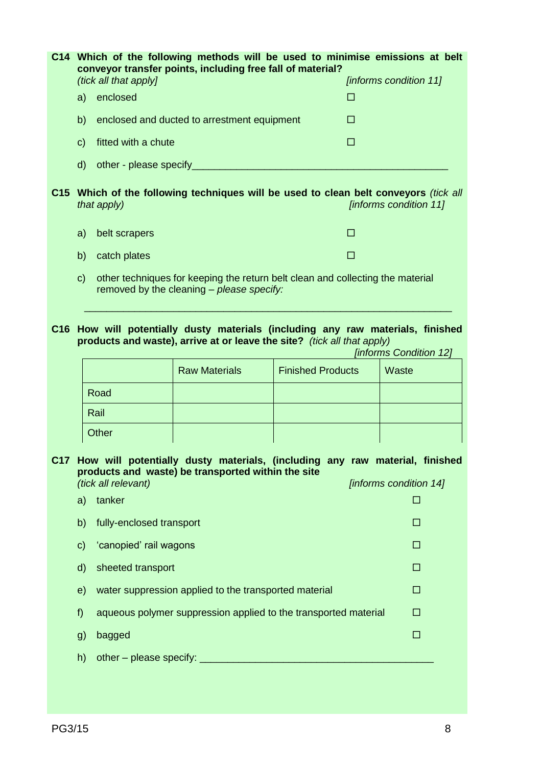|              | C14 Which of the following methods will be used to minimise emissions at belt<br>conveyor transfer points, including free fall of material? |                        |
|--------------|---------------------------------------------------------------------------------------------------------------------------------------------|------------------------|
|              | <i>(tick all that apply)</i>                                                                                                                | [informs condition 11] |
| a)           | enclosed                                                                                                                                    | <b>Tara</b>            |
| b)           | enclosed and ducted to arrestment equipment                                                                                                 | П                      |
| $\mathbf{C}$ | fitted with a chute                                                                                                                         | П                      |
| $\mathsf{d}$ | other - please specify                                                                                                                      |                        |
|              |                                                                                                                                             |                        |
|              | C15 Which of the following techniques will be used to clean belt conveyors <i>(tick all</i><br>that apply)                                  | [informs condition 11] |
| a)           | belt scrapers                                                                                                                               | П                      |
| b)           | catch plates                                                                                                                                | П                      |
| $\mathbf{C}$ | other techniques for keeping the return belt clean and collecting the material<br>removed by the cleaning - please specify:                 |                        |

**C16 How will potentially dusty materials (including any raw materials, finished products and waste), arrive at or leave the site?** *(tick all that apply)*

*[informs Condition 12]*

|       | <b>Raw Materials</b> | <b>Finished Products</b> | Waste |
|-------|----------------------|--------------------------|-------|
| Road  |                      |                          |       |
| Rail  |                      |                          |       |
| Other |                      |                          |       |

**C17 How will potentially dusty materials, (including any raw material, finished products and waste) be transported within the site**  *(informs condition 14]* 

| a)           | tanker                                                          |  |
|--------------|-----------------------------------------------------------------|--|
| b)           | fully-enclosed transport                                        |  |
| $\mathbf{C}$ | 'canopied' rail wagons                                          |  |
| $\mathsf{d}$ | sheeted transport                                               |  |
| e)           | water suppression applied to the transported material           |  |
| f            | aqueous polymer suppression applied to the transported material |  |
| g)           | bagged                                                          |  |
| h)           | other – please specify:                                         |  |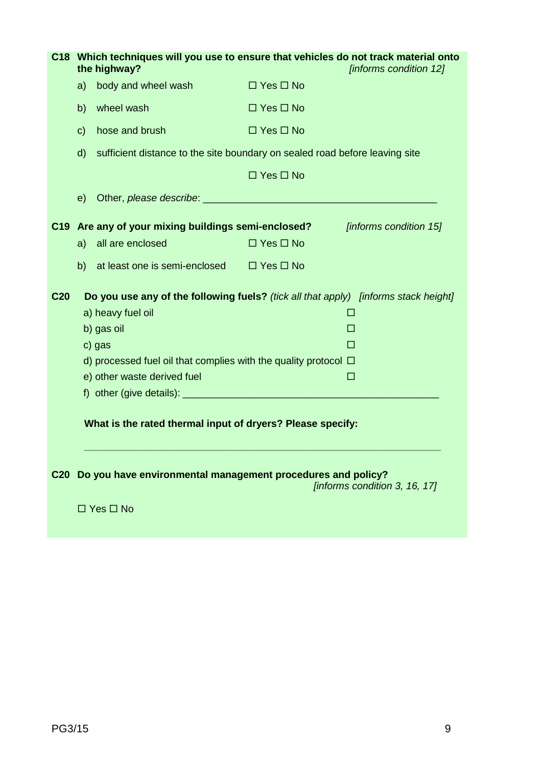|                 | C18 Which techniques will you use to ensure that vehicles do not track material onto |                                                                                     |                      |                               |
|-----------------|--------------------------------------------------------------------------------------|-------------------------------------------------------------------------------------|----------------------|-------------------------------|
|                 |                                                                                      | the highway?                                                                        |                      | [informs condition 12]        |
|                 | a)                                                                                   | body and wheel wash                                                                 | $\Box$ Yes $\Box$ No |                               |
|                 | b)                                                                                   | wheel wash                                                                          | $\Box$ Yes $\Box$ No |                               |
|                 | $\mathbf{C}$                                                                         | hose and brush                                                                      | $\Box$ Yes $\Box$ No |                               |
|                 | $\mathsf{d}$                                                                         | sufficient distance to the site boundary on sealed road before leaving site         |                      |                               |
|                 |                                                                                      |                                                                                     | $\Box$ Yes $\Box$ No |                               |
|                 | e)                                                                                   |                                                                                     |                      |                               |
|                 |                                                                                      | C19 Are any of your mixing buildings semi-enclosed?                                 |                      | [informs condition 15]        |
|                 | a)                                                                                   | all are enclosed                                                                    | $\Box$ Yes $\Box$ No |                               |
|                 | b)                                                                                   | at least one is semi-enclosed                                                       | $\Box$ Yes $\Box$ No |                               |
| C <sub>20</sub> |                                                                                      | Do you use any of the following fuels? (tick all that apply) [informs stack height] |                      |                               |
|                 |                                                                                      | a) heavy fuel oil                                                                   |                      | ш                             |
|                 |                                                                                      | b) gas oil                                                                          |                      | П                             |
|                 |                                                                                      | c) gas                                                                              |                      | П                             |
|                 | d) processed fuel oil that complies with the quality protocol $\Box$                 |                                                                                     |                      |                               |
|                 |                                                                                      | e) other waste derived fuel                                                         |                      | □                             |
|                 |                                                                                      |                                                                                     |                      |                               |
|                 |                                                                                      | What is the rated thermal input of dryers? Please specify:                          |                      |                               |
|                 |                                                                                      | C20 Do you have environmental management procedures and policy?                     |                      | [informs condition 3, 16, 17] |
|                 |                                                                                      | $\Box$ Yes $\Box$ No                                                                |                      |                               |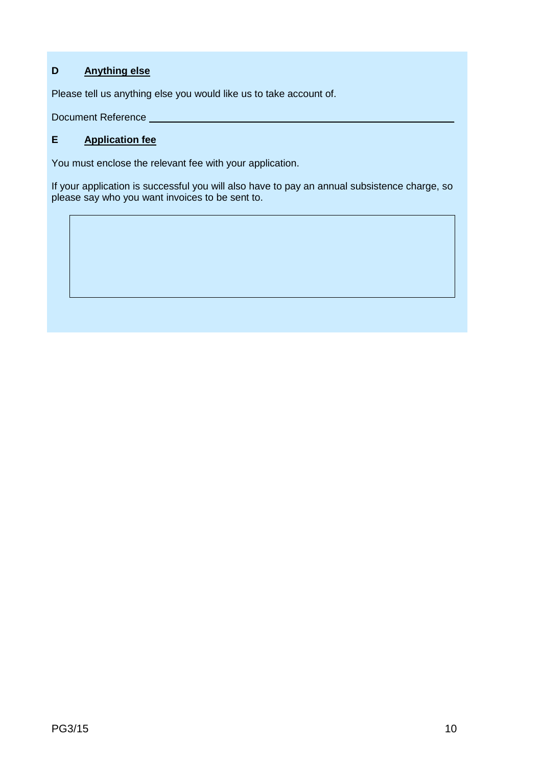# **D Anything else**

Please tell us anything else you would like us to take account of.

Document Reference

## **E Application fee**

You must enclose the relevant fee with your application.

If your application is successful you will also have to pay an annual subsistence charge, so please say who you want invoices to be sent to.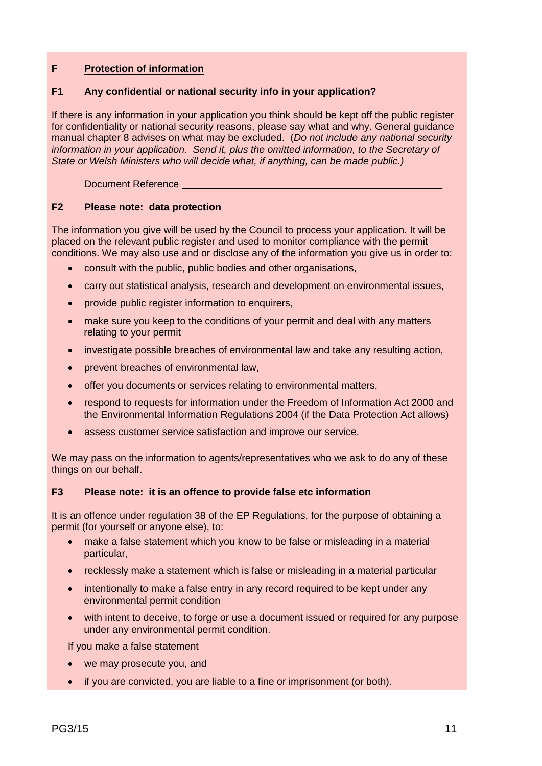# **F Protection of information**

#### **F1 Any confidential or national security info in your application?**

If there is any information in your application you think should be kept off the public register for confidentiality or national security reasons, please say what and why. General guidance manual chapter 8 advises on what may be excluded. (*Do not include any national security information in your application. Send it, plus the omitted information, to the Secretary of State or Welsh Ministers who will decide what, if anything, can be made public.)*

Document Reference

## **F2 Please note: data protection**

The information you give will be used by the Council to process your application. It will be placed on the relevant public register and used to monitor compliance with the permit conditions. We may also use and or disclose any of the information you give us in order to:

- consult with the public, public bodies and other organisations,
- carry out statistical analysis, research and development on environmental issues,
- provide public register information to enquirers,
- make sure you keep to the conditions of your permit and deal with any matters relating to your permit
- investigate possible breaches of environmental law and take any resulting action,
- prevent breaches of environmental law,
- offer you documents or services relating to environmental matters,
- respond to requests for information under the Freedom of Information Act 2000 and the Environmental Information Regulations 2004 (if the Data Protection Act allows)
- assess customer service satisfaction and improve our service.

We may pass on the information to agents/representatives who we ask to do any of these things on our behalf.

#### **F3 Please note: it is an offence to provide false etc information**

It is an offence under regulation 38 of the EP Regulations, for the purpose of obtaining a permit (for yourself or anyone else), to:

- make a false statement which you know to be false or misleading in a material particular,
- recklessly make a statement which is false or misleading in a material particular
- intentionally to make a false entry in any record required to be kept under any environmental permit condition
- with intent to deceive, to forge or use a document issued or required for any purpose under any environmental permit condition.

If you make a false statement

- we may prosecute you, and
- if you are convicted, you are liable to a fine or imprisonment (or both).